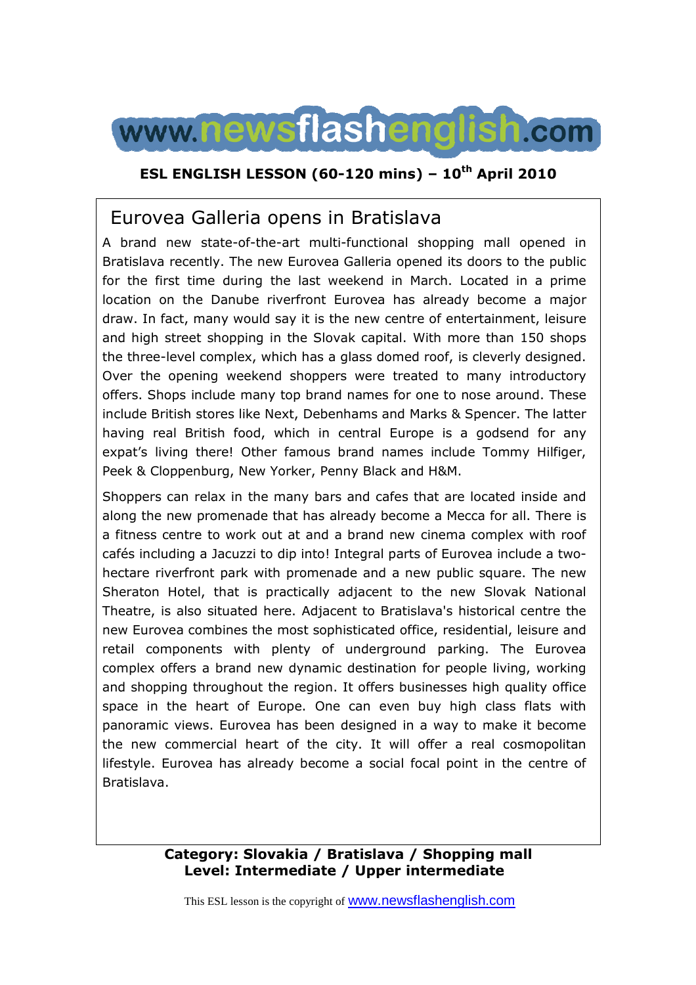

### **ESL ENGLISH LESSON (60-120 mins) – 10th April 2010**

# Eurovea Galleria opens in Bratislava

A brand new state-of-the-art multi-functional shopping mall opened in Bratislava recently. The new Eurovea Galleria opened its doors to the public for the first time during the last weekend in March. Located in a prime location on the Danube riverfront Eurovea has already become a major draw. In fact, many would say it is the new centre of entertainment, leisure and high street shopping in the Slovak capital. With more than 150 shops the three-level complex, which has a glass domed roof, is cleverly designed. Over the opening weekend shoppers were treated to many introductory offers. Shops include many top brand names for one to nose around. These include British stores like Next, Debenhams and Marks & Spencer. The latter having real British food, which in central Europe is a godsend for any expat's living there! Other famous brand names include Tommy Hilfiger, Peek & Cloppenburg, New Yorker, Penny Black and H&M.

Shoppers can relax in the many bars and cafes that are located inside and along the new promenade that has already become a Mecca for all. There is a fitness centre to work out at and a brand new cinema complex with roof cafés including a Jacuzzi to dip into! Integral parts of Eurovea include a twohectare riverfront park with promenade and a new public square. The new Sheraton Hotel, that is practically adjacent to the new Slovak National Theatre, is also situated here. Adjacent to Bratislava's historical centre the new Eurovea combines the most sophisticated office, residential, leisure and retail components with plenty of underground parking. The Eurovea complex offers a brand new dynamic destination for people living, working and shopping throughout the region. It offers businesses high quality office space in the heart of Europe. One can even buy high class flats with panoramic views. Eurovea has been designed in a way to make it become the new commercial heart of the city. It will offer a real cosmopolitan lifestyle. Eurovea has already become a social focal point in the centre of Bratislava.

### **Category: Slovakia / Bratislava / Shopping mall Level: Intermediate / Upper intermediate**

This ESL lesson is the copyright of www.newsflashenglish.com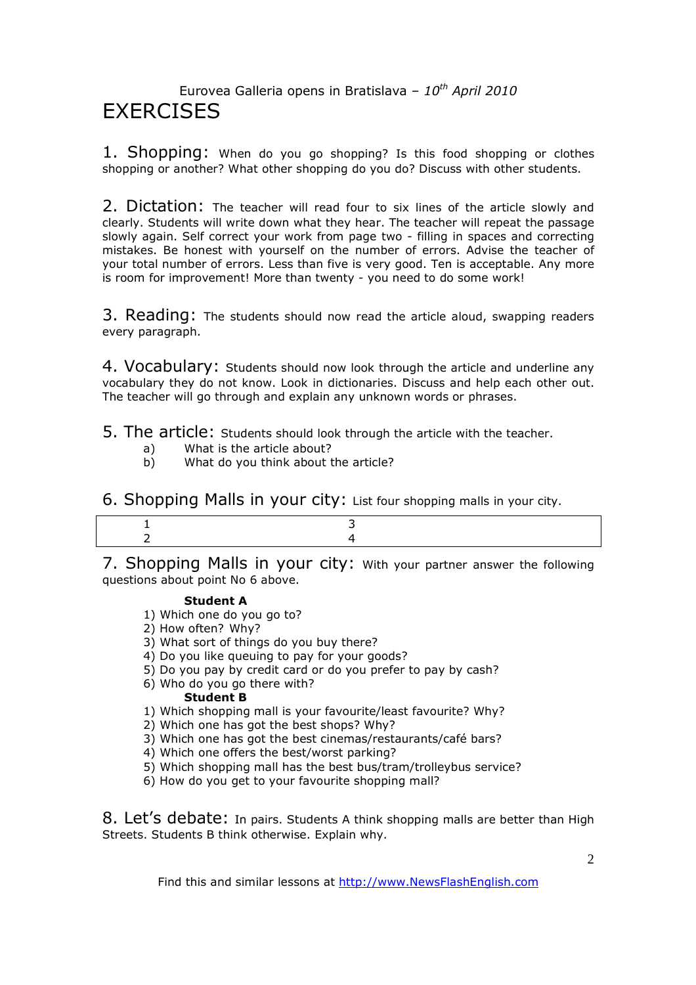# Eurovea Galleria opens in Bratislava – *10th April 2010* **FXFRCISES**

1. Shopping: When do you go shopping? Is this food shopping or clothes shopping or another? What other shopping do you do? Discuss with other students.

2. Dictation: The teacher will read four to six lines of the article slowly and clearly. Students will write down what they hear. The teacher will repeat the passage slowly again. Self correct your work from page two - filling in spaces and correcting mistakes. Be honest with yourself on the number of errors. Advise the teacher of your total number of errors. Less than five is very good. Ten is acceptable. Any more is room for improvement! More than twenty - you need to do some work!

3. Reading: The students should now read the article aloud, swapping readers every paragraph.

4. Vocabulary: Students should now look through the article and underline any vocabulary they do not know. Look in dictionaries. Discuss and help each other out. The teacher will go through and explain any unknown words or phrases.

- 5. The article: Students should look through the article with the teacher.
	- a) What is the article about?<br>b) What do you think about t
	- What do you think about the article?

6. Shopping Malls in your city: List four shopping malls in your city.

7. Shopping Malls in your city: With your partner answer the following questions about point No 6 above.

#### **Student A**

- 1) Which one do you go to?
- 2) How often? Why?
- 3) What sort of things do you buy there?
- 4) Do you like queuing to pay for your goods?
- 5) Do you pay by credit card or do you prefer to pay by cash?
- 6) Who do you go there with?

#### **Student B**

- 1) Which shopping mall is your favourite/least favourite? Why?
- 2) Which one has got the best shops? Why?
- 3) Which one has got the best cinemas/restaurants/café bars?
- 4) Which one offers the best/worst parking?
- 5) Which shopping mall has the best bus/tram/trolleybus service?
- 6) How do you get to your favourite shopping mall?

8. Let's debate: In pairs. Students A think shopping malls are better than High Streets. Students B think otherwise. Explain why.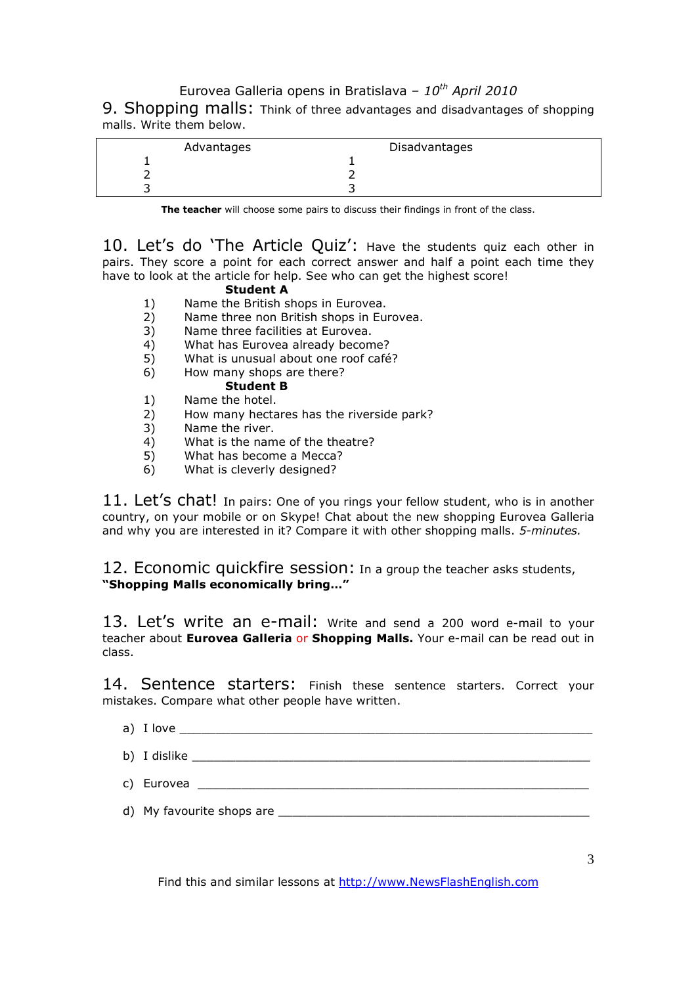### Eurovea Galleria opens in Bratislava – *10th April 2010*

9. Shopping malls: Think of three advantages and disadvantages of shopping malls. Write them below.

| Advantages | Disadvantages |  |
|------------|---------------|--|
|            |               |  |
|            |               |  |
|            |               |  |

**The teacher** will choose some pairs to discuss their findings in front of the class.

10. Let's do 'The Article Quiz': Have the students quiz each other in pairs. They score a point for each correct answer and half a point each time they have to look at the article for help. See who can get the highest score!

#### **Student A**

- 1) Name the British shops in Eurovea.
- 2) Name three non British shops in Eurovea.
- 3) Name three facilities at Eurovea.
- 4) What has Eurovea already become?
- 5) What is unusual about one roof café?
- 6) How many shops are there?

### **Student B**

- 1) Name the hotel.
- 2) How many hectares has the riverside park?
- 3) Name the river.<br>4) What is the nam
- $\begin{matrix} 4 \end{matrix}$  What is the name of the theatre?<br>
5) What has become a Mecca?
- 5) What has become a Mecca?
- 6) What is cleverly designed?

11. Let's chat! In pairs: One of you rings your fellow student, who is in another country, on your mobile or on Skype! Chat about the new shopping Eurovea Galleria and why you are interested in it? Compare it with other shopping malls. *5-minutes.* 

12. Economic quickfire session: In a group the teacher asks students, **"Shopping Malls economically bring…"**

13. Let's write an e-mail: Write and send a 200 word e-mail to your teacher about **Eurovea Galleria** or **Shopping Malls.** Your e-mail can be read out in class.

14. Sentence starters: Finish these sentence starters. Correct your mistakes. Compare what other people have written.

- a) I love
- b) I dislike  $\Box$
- c) Eurovea \_\_\_\_\_\_\_\_\_\_\_\_\_\_\_\_\_\_\_\_\_\_\_\_\_\_\_\_\_\_\_\_\_\_\_\_\_\_\_\_\_\_\_\_\_\_\_\_\_\_\_\_\_\_
- d) My favourite shops are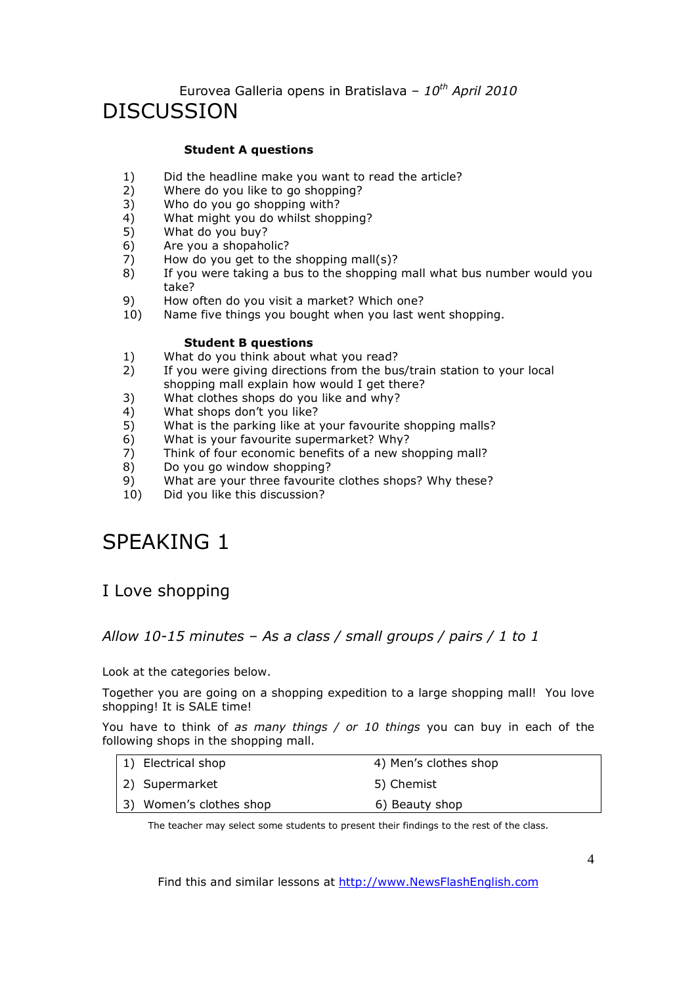# Eurovea Galleria opens in Bratislava – *10th April 2010* DISCUSSION

#### **Student A questions**

- 1) Did the headline make you want to read the article?
- 2) Where do you like to go shopping?
- 3) Who do you go shopping with?
- 4) What might you do whilst shopping?<br>5) What do you buy?
- 5) What do you buy?
- 6) Are you a shopaholic?
- 7) How do you get to the shopping mall(s)?
- 8) If you were taking a bus to the shopping mall what bus number would you take?
- 9) How often do you visit a market? Which one?
- 10) Name five things you bought when you last went shopping.

#### **Student B questions**

- 1) What do you think about what you read?
- 2) If you were giving directions from the bus/train station to your local shopping mall explain how would I get there?
- 3) What clothes shops do you like and why?
- 4) What shops don't you like?
- 5) What is the parking like at your favourite shopping malls?
- 6) What is your favourite supermarket? Why?
- 7) Think of four economic benefits of a new shopping mall?<br>8) Do you go window shopping?
- 8) Do you go window shopping?<br>9) What are your three favourite
- What are your three favourite clothes shops? Why these?
- 10) Did you like this discussion?

# SPEAKING 1

## I Love shopping

### *Allow 10-15 minutes – As a class / small groups / pairs / 1 to 1*

Look at the categories below.

Together you are going on a shopping expedition to a large shopping mall! You love shopping! It is SALE time!

You have to think of *as many things / or 10 things* you can buy in each of the following shops in the shopping mall.

| 1) Electrical shop      | 4) Men's clothes shop |
|-------------------------|-----------------------|
| 2) Supermarket          | 5) Chemist            |
| 3) Women's clothes shop | 6) Beauty shop        |

The teacher may select some students to present their findings to the rest of the class.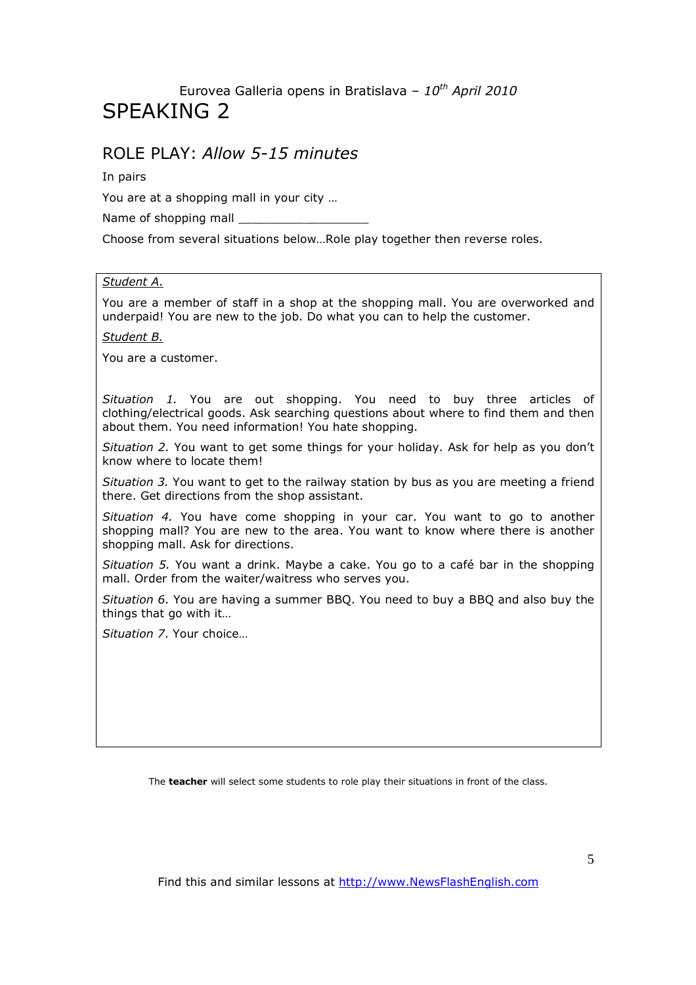# Eurovea Galleria opens in Bratislava – *10th April 2010* SPEAKING 2

### ROLE PLAY: *Allow 5-15 minutes*

In pairs

You are at a shopping mall in your city …

Name of shopping mall

Choose from several situations below…Role play together then reverse roles.

#### *Student A*.

You are a member of staff in a shop at the shopping mall. You are overworked and underpaid! You are new to the job. Do what you can to help the customer.

*Student B.* 

You are a customer.

*Situation 1.* You are out shopping. You need to buy three articles of clothing/electrical goods. Ask searching questions about where to find them and then about them. You need information! You hate shopping.

*Situation 2.* You want to get some things for your holiday. Ask for help as you don't know where to locate them!

*Situation 3.* You want to get to the railway station by bus as you are meeting a friend there. Get directions from the shop assistant.

*Situation 4.* You have come shopping in your car. You want to go to another shopping mall? You are new to the area. You want to know where there is another shopping mall. Ask for directions.

*Situation 5.* You want a drink. Maybe a cake. You go to a café bar in the shopping mall. Order from the waiter/waitress who serves you.

*Situation 6*. You are having a summer BBQ. You need to buy a BBQ and also buy the things that go with it…

*Situation 7*. Your choice…

The **teacher** will select some students to role play their situations in front of the class.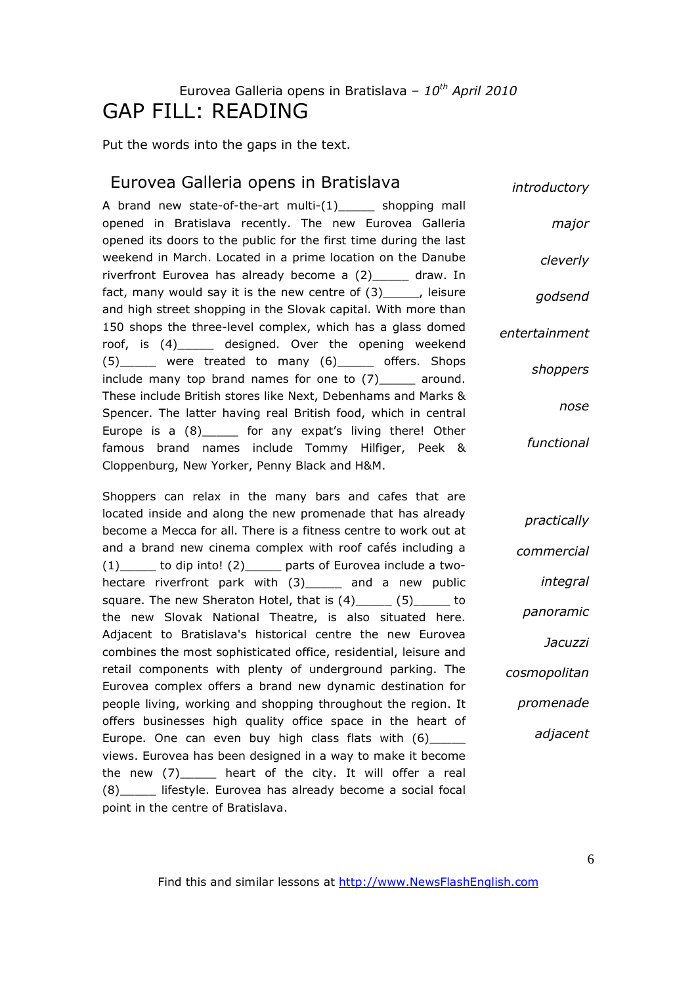# Eurovea Galleria opens in Bratislava – *10th April 2010* GAP FILL: READING

Put the words into the gaps in the text.

### Eurovea Galleria opens in Bratislava

A brand new state-of-the-art multi-(1) shopping mall opened in Bratislava recently. The new Eurovea Galleria opened its doors to the public for the first time during the last weekend in March. Located in a prime location on the Danube riverfront Eurovea has already become a (2) draw. In fact, many would say it is the new centre of (3) [16], leisure and high street shopping in the Slovak capital. With more than 150 shops the three-level complex, which has a glass domed roof, is (4)\_\_\_\_\_ designed. Over the opening weekend (5)\_\_\_\_\_ were treated to many (6)\_\_\_\_\_ offers. Shops include many top brand names for one to (7)\_\_\_\_\_ around. These include British stores like Next, Debenhams and Marks & Spencer. The latter having real British food, which in central Europe is a  $(8)$  for any expat's living there! Other famous brand names include Tommy Hilfiger, Peek & Cloppenburg, New Yorker, Penny Black and H&M. *major cleverly godsend entertainment*

Shoppers can relax in the many bars and cafes that are located inside and along the new promenade that has already become a Mecca for all. There is a fitness centre to work out at and a brand new cinema complex with roof cafés including a (1)\_\_\_\_\_ to dip into! (2)\_\_\_\_\_ parts of Eurovea include a twohectare riverfront park with (3) and a new public square. The new Sheraton Hotel, that is (4) (5) to the new Slovak National Theatre, is also situated here. Adjacent to Bratislava's historical centre the new Eurovea combines the most sophisticated office, residential, leisure and retail components with plenty of underground parking. The Eurovea complex offers a brand new dynamic destination for people living, working and shopping throughout the region. It offers businesses high quality office space in the heart of Europe. One can even buy high class flats with (6)\_\_\_\_\_ views. Eurovea has been designed in a way to make it become the new (7)\_\_\_\_\_ heart of the city. It will offer a real (8) lifestyle. Eurovea has already become a social focal point in the centre of Bratislava.

*introductory*

*shoppers nose functional*

*commercial integral panoramic Jacuzzi cosmopolitan promenade adjacent*

*practically*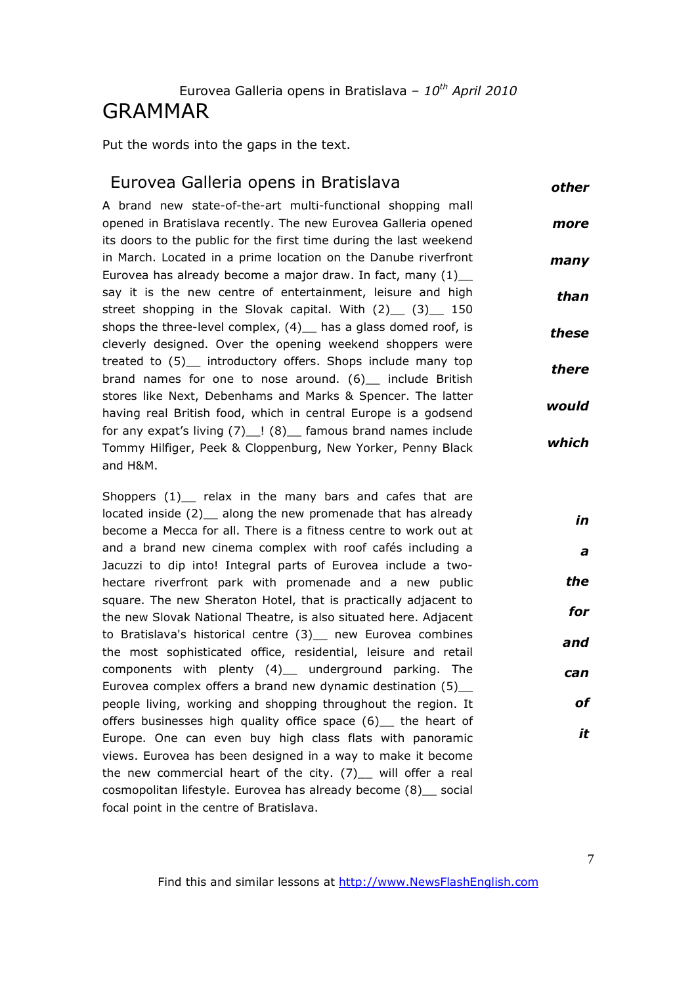# Eurovea Galleria opens in Bratislava – *10th April 2010* GRAMMAR

Put the words into the gaps in the text.

#### Eurovea Galleria opens in Bratislava *other*

A brand new state-of-the-art multi-functional shopping mall opened in Bratislava recently. The new Eurovea Galleria opened its doors to the public for the first time during the last weekend in March. Located in a prime location on the Danube riverfront Eurovea has already become a major draw. In fact, many (1)\_\_ say it is the new centre of entertainment, leisure and high street shopping in the Slovak capital. With  $(2)$  (3) 150 shops the three-level complex, (4) has a glass domed roof, is cleverly designed. Over the opening weekend shoppers were treated to (5)\_\_ introductory offers. Shops include many top brand names for one to nose around. (6) include British stores like Next, Debenhams and Marks & Spencer. The latter having real British food, which in central Europe is a godsend for any expat's living  $(7)$   $(8)$  famous brand names include Tommy Hilfiger, Peek & Cloppenburg, New Yorker, Penny Black and H&M. *more many than these there would which*

Shoppers (1) relax in the many bars and cafes that are located inside (2) along the new promenade that has already become a Mecca for all. There is a fitness centre to work out at and a brand new cinema complex with roof cafés including a Jacuzzi to dip into! Integral parts of Eurovea include a twohectare riverfront park with promenade and a new public square. The new Sheraton Hotel, that is practically adjacent to the new Slovak National Theatre, is also situated here. Adjacent to Bratislava's historical centre (3) \_ new Eurovea combines the most sophisticated office, residential, leisure and retail components with plenty (4)\_\_ underground parking. The Eurovea complex offers a brand new dynamic destination (5)\_\_ people living, working and shopping throughout the region. It offers businesses high quality office space (6) the heart of Europe. One can even buy high class flats with panoramic views. Eurovea has been designed in a way to make it become the new commercial heart of the city.  $(7)$  will offer a real cosmopolitan lifestyle. Eurovea has already become (8)\_\_ social focal point in the centre of Bratislava. *the and can*

*in*

*a*

*for*

*of*

*it*